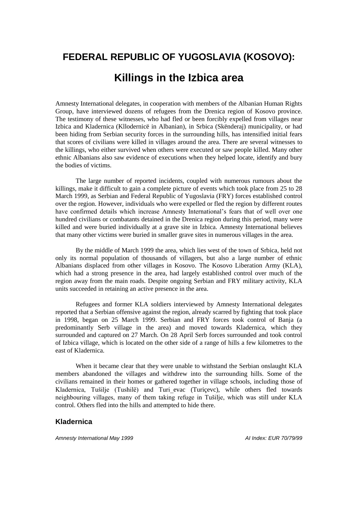# **FEDERAL REPUBLIC OF YUGOSLAVIA (KOSOVO): Killings in the Izbica area**

Amnesty International delegates, in cooperation with members of the Albanian Human Rights Group, have interviewed dozens of refugees from the Drenica region of Kosovo province. The testimony of these witnesses, who had fled or been forcibly expelled from villages near Izbica and Kladernica (Kllodernicë in Albanian), in Srbica (Skënderaj) municipality, or had been hiding from Serbian security forces in the surrounding hills, has intensified initial fears that scores of civilians were killed in villages around the area. There are several witnesses to the killings, who either survived when others were executed or saw people killed. Many other ethnic Albanians also saw evidence of executions when they helped locate, identify and bury the bodies of victims.

The large number of reported incidents, coupled with numerous rumours about the killings, make it difficult to gain a complete picture of events which took place from 25 to 28 March 1999, as Serbian and Federal Republic of Yugoslavia (FRY) forces established control over the region. However, individuals who were expelled or fled the region by different routes have confirmed details which increase Amnesty International's fears that of well over one hundred civilians or combatants detained in the Drenica region during this period, many were killed and were buried individually at a grave site in Izbica. Amnesty International believes that many other victims were buried in smaller grave sites in numerous villages in the area.

By the middle of March 1999 the area, which lies west of the town of Srbica, held not only its normal population of thousands of villagers, but also a large number of ethnic Albanians displaced from other villages in Kosovo. The Kosovo Liberation Army (KLA), which had a strong presence in the area, had largely established control over much of the region away from the main roads. Despite ongoing Serbian and FRY military activity, KLA units succeeded in retaining an active presence in the area.

Refugees and former KLA soldiers interviewed by Amnesty International delegates reported that a Serbian offensive against the region, already scarred by fighting that took place in 1998, began on 25 March 1999. Serbian and FRY forces took control of Banja (a predominantly Serb village in the area) and moved towards Kladernica, which they surrounded and captured on 27 March. On 28 April Serb forces surrounded and took control of Izbica village, which is located on the other side of a range of hills a few kilometres to the east of Kladernica.

When it became clear that they were unable to withstand the Serbian onslaught KLA members abandoned the villages and withdrew into the surrounding hills. Some of the civilians remained in their homes or gathered together in village schools, including those of Kladernica, Tušilje (Tushilë) and Turi evac (Turicevc), while others fled towards neighbouring villages, many of them taking refuge in Tušilje, which was still under KLA control. Others fled into the hills and attempted to hide there.

## **Kladernica**

*Amnesty International May 1999 AI Index: EUR 70/79/99*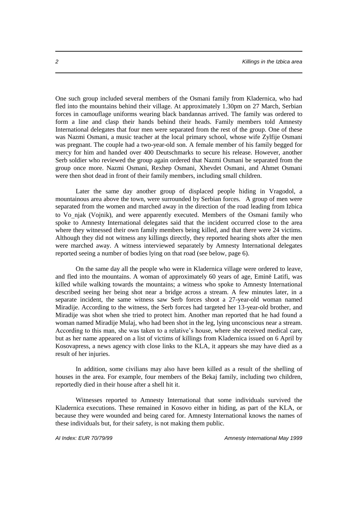One such group included several members of the Osmani family from Kladernica, who had fled into the mountains behind their village. At approximately 1.30pm on 27 March, Serbian forces in camouflage uniforms wearing black bandannas arrived. The family was ordered to form a line and clasp their hands behind their heads. Family members told Amnesty International delegates that four men were separated from the rest of the group. One of these was Nazmi Osmani, a music teacher at the local primary school, whose wife Zylfije Osmani was pregnant. The couple had a two-year-old son. A female member of his family begged for mercy for him and handed over 400 Deutschmarks to secure his release. However, another Serb soldier who reviewed the group again ordered that Nazmi Osmani be separated from the group once more. Nazmi Osmani, Rexhep Osmani, Xhevdet Osmani, and Ahmet Osmani were then shot dead in front of their family members, including small children.

Later the same day another group of displaced people hiding in Vragodol, a mountainous area above the town, were surrounded by Serbian forces. A group of men were separated from the women and marched away in the direction of the road leading from Izbica to Vonjak (Vojnik), and were apparently executed. Members of the Osmani family who spoke to Amnesty International delegates said that the incident occurred close to the area where they witnessed their own family members being killed, and that there were 24 victims. Although they did not witness any killings directly, they reported hearing shots after the men were marched away. A witness interviewed separately by Amnesty International delegates reported seeing a number of bodies lying on that road (see below, page 6).

On the same day all the people who were in Kladernica village were ordered to leave, and fled into the mountains. A woman of approximately 60 years of age, Eminë Latifi, was killed while walking towards the mountains; a witness who spoke to Amnesty International described seeing her being shot near a bridge across a stream. A few minutes later, in a separate incident, the same witness saw Serb forces shoot a 27-year-old woman named Miradije. According to the witness, the Serb forces had targeted her 13-year-old brother, and Miradije was shot when she tried to protect him. Another man reported that he had found a woman named Miradije Mulaj, who had been shot in the leg, lying unconscious near a stream. According to this man, she was taken to a relative's house, where she received medical care, but as her name appeared on a list of victims of killings from Kladernica issued on 6 April by Kosovapress, a news agency with close links to the KLA, it appears she may have died as a result of her injuries.

In addition, some civilians may also have been killed as a result of the shelling of houses in the area. For example, four members of the Bekaj family, including two children, reportedly died in their house after a shell hit it.

Witnesses reported to Amnesty International that some individuals survived the Kladernica executions. These remained in Kosovo either in hiding, as part of the KLA, or because they were wounded and being cared for. Amnesty International knows the names of these individuals but, for their safety, is not making them public.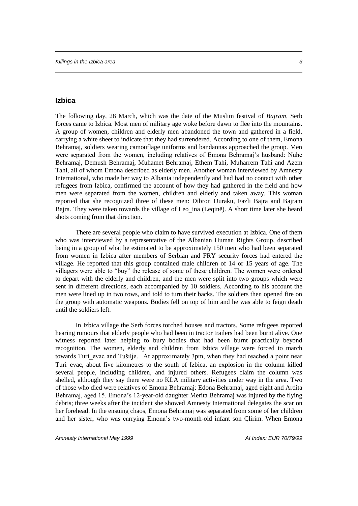# **Izbica**

The following day, 28 March, which was the date of the Muslim festival of *Bajram*, Serb forces came to Izbica. Most men of military age woke before dawn to flee into the mountains. A group of women, children and elderly men abandoned the town and gathered in a field, carrying a white sheet to indicate that they had surrendered. According to one of them, Emona Behramaj, soldiers wearing camouflage uniforms and bandannas approached the group. Men were separated from the women, including relatives of Emona Behramaj's husband: Nuhe Behramaj, Demush Behramaj, Muhamet Behramaj, Ethem Tahi, Muharrem Tahi and Azem Tahi, all of whom Emona described as elderly men. Another woman interviewed by Amnesty International, who made her way to Albania independently and had had no contact with other refugees from Izbica, confirmed the account of how they had gathered in the field and how men were separated from the women, children and elderly and taken away. This woman reported that she recognized three of these men: Dibron Duraku, Fazli Bajra and Bajram Bajra. They were taken towards the village of Leo ina (Leqinë). A short time later she heard shots coming from that direction.

There are several people who claim to have survived execution at Izbica. One of them who was interviewed by a representative of the Albanian Human Rights Group, described being in a group of what he estimated to be approximately 150 men who had been separated from women in Izbica after members of Serbian and FRY security forces had entered the village. He reported that this group contained male children of 14 or 15 years of age. The villagers were able to "buy" the release of some of these children. The women were ordered to depart with the elderly and children, and the men were split into two groups which were sent in different directions, each accompanied by 10 soldiers. According to his account the men were lined up in two rows, and told to turn their backs. The soldiers then opened fire on the group with automatic weapons. Bodies fell on top of him and he was able to feign death until the soldiers left.

In Izbica village the Serb forces torched houses and tractors. Some refugees reported hearing rumours that elderly people who had been in tractor trailers had been burnt alive. One witness reported later helping to bury bodies that had been burnt practically beyond recognition. The women, elderly and children from Izbica village were forced to march towards Turi evac and Tušilje. At approximately 3pm, when they had reached a point near Turievac, about five kilometres to the south of Izbica, an explosion in the column killed several people, including children, and injured others. Refugees claim the column was shelled, although they say there were no KLA military activities under way in the area. Two of those who died were relatives of Emona Behramaj: Edona Behramaj, aged eight and Ardita Behramaj, aged 15. Emona's 12-year-old daughter Merita Behramaj was injured by the flying debris; three weeks after the incident she showed Amnesty International delegates the scar on her forehead. In the ensuing chaos, Emona Behramaj was separated from some of her children and her sister, who was carrying Emona's two-month-old infant son Çlirim. When Emona

*Amnesty International May 1999 AI Index: EUR 70/79/99*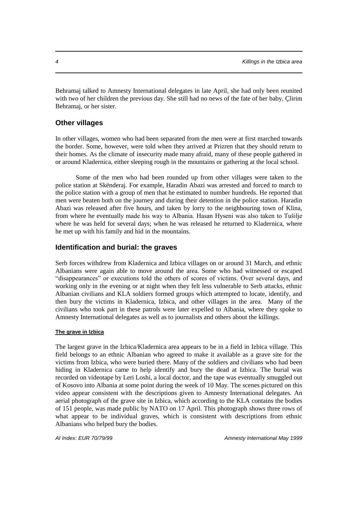Behramaj talked to Amnesty International delegates in late April, she had only been reunited with two of her children the previous day. She still had no news of the fate of her baby, Çlirim Behramaj, or her sister.

# **Other villages**

In other villages, women who had been separated from the men were at first marched towards the border. Some, however, were told when they arrived at Prizren that they should return to their homes. As the climate of insecurity made many afraid, many of these people gathered in or around Kladernica, either sleeping rough in the mountains or gathering at the local school.

Some of the men who had been rounded up from other villages were taken to the police station at Skënderaj. For example, Haradin Abazi was arrested and forced to march to the police station with a group of men that he estimated to number hundreds. He reported that men were beaten both on the journey and during their detention in the police station. Haradin Abazi was released after five hours, and taken by lorry to the neighbouring town of Klina, from where he eventually made his way to Albania. Hasan Hyseni was also taken to Tušilje where he was held for several days; when he was released he returned to Kladernica, where he met up with his family and hid in the mountains.

## **Identification and burial: the graves**

Serb forces withdrew from Kladernica and Izbica villages on or around 31 March, and ethnic Albanians were again able to move around the area. Some who had witnessed or escaped "disappearances" or executions told the others of scores of victims. Over several days, and working only in the evening or at night when they felt less vulnerable to Serb attacks, ethnic Albanian civilians and KLA soldiers formed groups which attempted to locate, identify, and then bury the victims in Kladernica, Izbica, and other villages in the area. Many of the civilians who took part in these patrols were later expelled to Albania, where they spoke to Amnesty International delegates as well as to journalists and others about the killings.

### **The grave in Izbica**

The largest grave in the Izbica/Kladernica area appears to be in a field in Izbica village. This field belongs to an ethnic Albanian who agreed to make it available as a grave site for the victims from Izbica, who were buried there. Many of the soldiers and civilians who had been hiding in Kladernica came to help identify and bury the dead at Izbica. The burial was recorded on videotape by Leri Loshi, a local doctor, and the tape was eventually smuggled out of Kosovo into Albania at some point during the week of 10 May. The scenes pictured on this video appear consistent with the descriptions given to Amnesty International delegates. An aerial photograph of the grave site in Izbica, which according to the KLA contains the bodies of 151 people, was made public by NATO on 17 April. This photograph shows three rows of what appear to be individual graves, which is consistent with descriptions from ethnic Albanians who helped bury the bodies.

*AI Index: EUR 70/79/99 Amnesty International May 1999*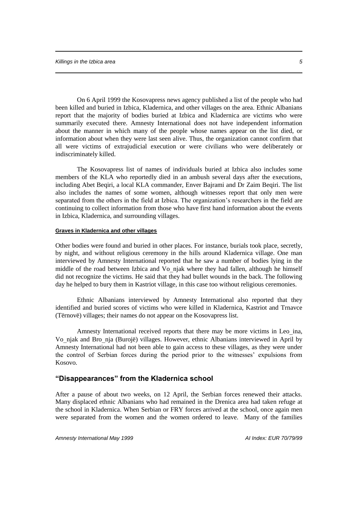On 6 April 1999 the Kosovapress news agency published a list of the people who had been killed and buried in Izbica, Kladernica, and other villages on the area. Ethnic Albanians report that the majority of bodies buried at Izbica and Kladernica are victims who were summarily executed there. Amnesty International does not have independent information about the manner in which many of the people whose names appear on the list died, or information about when they were last seen alive. Thus, the organization cannot confirm that all were victims of extrajudicial execution or were civilians who were deliberately or indiscriminately killed.

The Kosovapress list of names of individuals buried at Izbica also includes some members of the KLA who reportedly died in an ambush several days after the executions, including Abet Beqiri, a local KLA commander, Enver Bajrami and Dr Zaim Beqiri. The list also includes the names of some women, although witnesses report that only men were separated from the others in the field at Izbica. The organization's researchers in the field are continuing to collect information from those who have first hand information about the events in Izbica, Kladernica, and surrounding villages.

### **Graves in Kladernica and other villages**

Other bodies were found and buried in other places. For instance, burials took place, secretly, by night, and without religious ceremony in the hills around Kladernica village. One man interviewed by Amnesty International reported that he saw a number of bodies lying in the middle of the road between Izbica and Vonjak where they had fallen, although he himself did not recognize the victims. He said that they had bullet wounds in the back. The following day he helped to bury them in Kastriot village, in this case too without religious ceremonies.

Ethnic Albanians interviewed by Amnesty International also reported that they identified and buried scores of victims who were killed in Kladernica, Kastriot and Trnavce (Tërnovë) villages; their names do not appear on the Kosovapress list.

Amnesty International received reports that there may be more victims in Leo ina, Vonjak and Bronja (Burojë) villages. However, ethnic Albanians interviewed in April by Amnesty International had not been able to gain access to these villages, as they were under the control of Serbian forces during the period prior to the witnesses' expulsions from Kosovo.

# **"Disappearances" from the Kladernica school**

After a pause of about two weeks, on 12 April, the Serbian forces renewed their attacks. Many displaced ethnic Albanians who had remained in the Drenica area had taken refuge at the school in Kladernica. When Serbian or FRY forces arrived at the school, once again men were separated from the women and the women ordered to leave. Many of the families